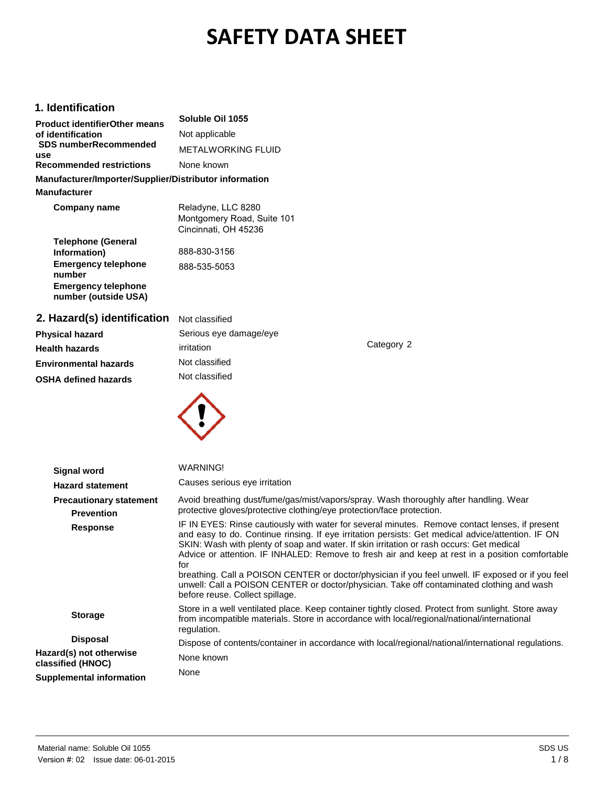# **SAFETY DATA SHEET**

#### **1. Identification**

| <b>Product identifierOther means</b><br>of identification | Soluble Oil 1055                                                         |  |
|-----------------------------------------------------------|--------------------------------------------------------------------------|--|
|                                                           | Not applicable                                                           |  |
| <b>SDS numberRecommended</b><br>use                       | METALWORKING FLUID                                                       |  |
| <b>Recommended restrictions</b>                           | None known                                                               |  |
| Manufacturer/Importer/Supplier/Distributor information    |                                                                          |  |
| <b>Manufacturer</b>                                       |                                                                          |  |
| Company name                                              | Reladyne, LLC 8280<br>Montgomery Road, Suite 101<br>Cincinnati, OH 45236 |  |
| <b>Telephone (General</b><br>Information)                 | 888-830-3156                                                             |  |
| <b>Emergency telephone</b><br>number                      | 888-535-5053                                                             |  |
| <b>Emergency telephone</b><br>number (outside USA)        |                                                                          |  |
| 2. Hazard(s) identification                               | Not classified                                                           |  |
| <b>Physical hazard</b>                                    | Serious eye damage/eye                                                   |  |
| <b>Health hazards</b>                                     | irritation                                                               |  |
| <b>Environmental hazards</b>                              | Not classified                                                           |  |
| <b>OSHA defined hazards</b>                               | Not classified                                                           |  |
|                                                           |                                                                          |  |

**Signal word Hazard statement Precautionary statement Prevention Response Storage Disposal Hazard(s) not otherwise classified (HNOC) Supplemental information** WARNING! Causes serious eye irritation Avoid breathing dust/fume/gas/mist/vapors/spray. Wash thoroughly after handling. Wear protective gloves/protective clothing/eye protection/face protection. IF IN EYES: Rinse cautiously with water for several minutes. Remove contact lenses, if present and easy to do. Continue rinsing. If eye irritation persists: Get medical advice/attention. IF ON SKIN: Wash with plenty of soap and water. If skin irritation or rash occurs: Get medical Advice or attention. IF INHALED: Remove to fresh air and keep at rest in a position comfortable for breathing. Call a POISON CENTER or doctor/physician if you feel unwell. IF exposed or if you feel unwell: Call a POISON CENTER or doctor/physician. Take off contaminated clothing and wash before reuse. Collect spillage. Store in a well ventilated place. Keep container tightly closed. Protect from sunlight. Store away from incompatible materials. Store in accordance with local/regional/national/international regulation. Dispose of contents/container in accordance with local/regional/national/international regulations. None known None

Category 2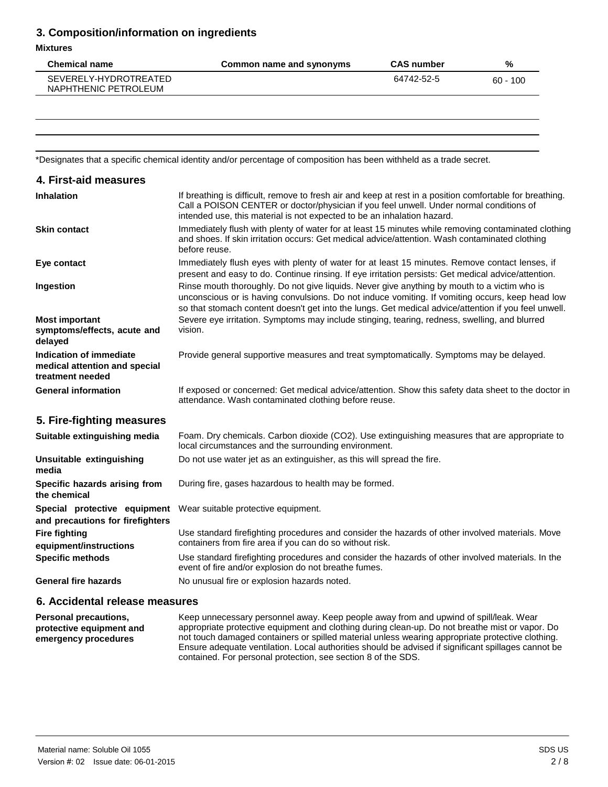## **3. Composition/information on ingredients**

#### **Mixtures**

| <b>Chemical name</b>                          | Common name and synonyms | <b>CAS number</b> | %          |
|-----------------------------------------------|--------------------------|-------------------|------------|
| SEVERELY-HYDROTREATED<br>NAPHTHENIC PETROLEUM |                          | 64742-52-5        | $60 - 100$ |
|                                               |                          |                   |            |

\*Designates that a specific chemical identity and/or percentage of composition has been withheld as a trade secret.

| 4. First-aid measures                                                               |                                                                                                                                                                                                                                                                                                         |
|-------------------------------------------------------------------------------------|---------------------------------------------------------------------------------------------------------------------------------------------------------------------------------------------------------------------------------------------------------------------------------------------------------|
| <b>Inhalation</b>                                                                   | If breathing is difficult, remove to fresh air and keep at rest in a position comfortable for breathing.<br>Call a POISON CENTER or doctor/physician if you feel unwell. Under normal conditions of<br>intended use, this material is not expected to be an inhalation hazard.                          |
| <b>Skin contact</b>                                                                 | Immediately flush with plenty of water for at least 15 minutes while removing contaminated clothing<br>and shoes. If skin irritation occurs: Get medical advice/attention. Wash contaminated clothing<br>before reuse.                                                                                  |
| Eye contact                                                                         | Immediately flush eyes with plenty of water for at least 15 minutes. Remove contact lenses, if<br>present and easy to do. Continue rinsing. If eye irritation persists: Get medical advice/attention.                                                                                                   |
| Ingestion                                                                           | Rinse mouth thoroughly. Do not give liquids. Never give anything by mouth to a victim who is<br>unconscious or is having convulsions. Do not induce vomiting. If vomiting occurs, keep head low<br>so that stomach content doesn't get into the lungs. Get medical advice/attention if you feel unwell. |
| <b>Most important</b><br>symptoms/effects, acute and<br>delayed                     | Severe eye irritation. Symptoms may include stinging, tearing, redness, swelling, and blurred<br>vision.                                                                                                                                                                                                |
| <b>Indication of immediate</b><br>medical attention and special<br>treatment needed | Provide general supportive measures and treat symptomatically. Symptoms may be delayed.                                                                                                                                                                                                                 |
| <b>General information</b>                                                          | If exposed or concerned: Get medical advice/attention. Show this safety data sheet to the doctor in<br>attendance. Wash contaminated clothing before reuse.                                                                                                                                             |
| 5. Fire-fighting measures                                                           |                                                                                                                                                                                                                                                                                                         |
| Suitable extinguishing media                                                        | Foam. Dry chemicals. Carbon dioxide (CO2). Use extinguishing measures that are appropriate to<br>local circumstances and the surrounding environment.                                                                                                                                                   |
| Unsuitable extinguishing<br>media                                                   | Do not use water jet as an extinguisher, as this will spread the fire.                                                                                                                                                                                                                                  |
| Specific hazards arising from<br>the chemical                                       | During fire, gases hazardous to health may be formed.                                                                                                                                                                                                                                                   |
| Special protective equipment<br>and precautions for firefighters                    | Wear suitable protective equipment.                                                                                                                                                                                                                                                                     |
| <b>Fire fighting</b><br>equipment/instructions                                      | Use standard firefighting procedures and consider the hazards of other involved materials. Move<br>containers from fire area if you can do so without risk.                                                                                                                                             |
| <b>Specific methods</b>                                                             | Use standard firefighting procedures and consider the hazards of other involved materials. In the<br>event of fire and/or explosion do not breathe fumes.                                                                                                                                               |
| <b>General fire hazards</b>                                                         | No unusual fire or explosion hazards noted.                                                                                                                                                                                                                                                             |
|                                                                                     |                                                                                                                                                                                                                                                                                                         |

#### **6. Accidental release measures**

**Personal precautions, protective equipment and emergency procedures** Keep unnecessary personnel away. Keep people away from and upwind of spill/leak. Wear appropriate protective equipment and clothing during clean-up. Do not breathe mist or vapor. Do not touch damaged containers or spilled material unless wearing appropriate protective clothing. Ensure adequate ventilation. Local authorities should be advised if significant spillages cannot be contained. For personal protection, see section 8 of the SDS.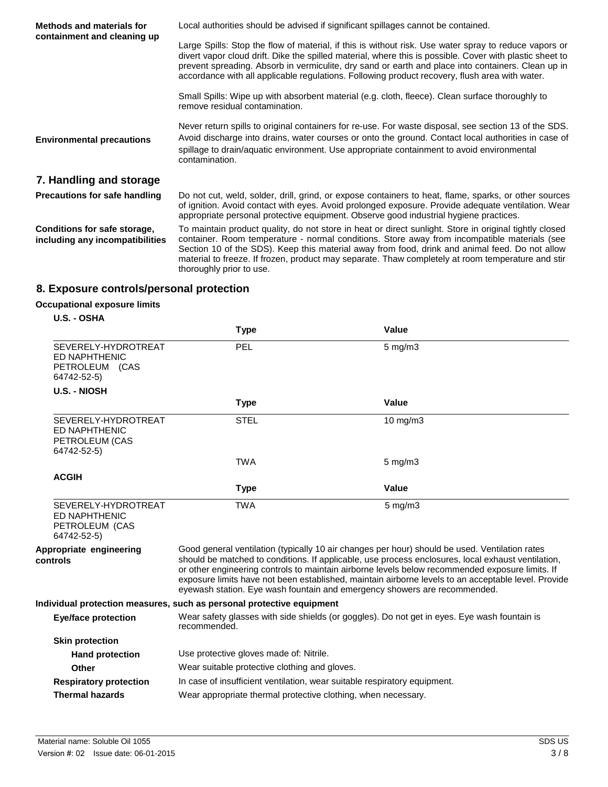| <b>Methods and materials for</b><br>containment and cleaning up | Local authorities should be advised if significant spillages cannot be contained.                                                                                                                                                                                                                                                                                                                                                         |  |
|-----------------------------------------------------------------|-------------------------------------------------------------------------------------------------------------------------------------------------------------------------------------------------------------------------------------------------------------------------------------------------------------------------------------------------------------------------------------------------------------------------------------------|--|
|                                                                 | Large Spills: Stop the flow of material, if this is without risk. Use water spray to reduce vapors or<br>divert vapor cloud drift. Dike the spilled material, where this is possible. Cover with plastic sheet to<br>prevent spreading. Absorb in vermiculite, dry sand or earth and place into containers. Clean up in<br>accordance with all applicable regulations. Following product recovery, flush area with water.                 |  |
|                                                                 | Small Spills: Wipe up with absorbent material (e.g. cloth, fleece). Clean surface thoroughly to<br>remove residual contamination.                                                                                                                                                                                                                                                                                                         |  |
| <b>Environmental precautions</b>                                | Never return spills to original containers for re-use. For waste disposal, see section 13 of the SDS.<br>Avoid discharge into drains, water courses or onto the ground. Contact local authorities in case of<br>spillage to drain/aquatic environment. Use appropriate containment to avoid environmental<br>contamination.                                                                                                               |  |
| 7. Handling and storage                                         |                                                                                                                                                                                                                                                                                                                                                                                                                                           |  |
| <b>Precautions for safe handling</b>                            | Do not cut, weld, solder, drill, grind, or expose containers to heat, flame, sparks, or other sources<br>of ignition. Avoid contact with eyes. Avoid prolonged exposure. Provide adequate ventilation. Wear<br>appropriate personal protective equipment. Observe good industrial hygiene practices.                                                                                                                                      |  |
| Conditions for safe storage,<br>including any incompatibilities | To maintain product quality, do not store in heat or direct sunlight. Store in original tightly closed<br>container. Room temperature - normal conditions. Store away from incompatible materials (see<br>Section 10 of the SDS). Keep this material away from food, drink and animal feed. Do not allow<br>material to freeze. If frozen, product may separate. Thaw completely at room temperature and stir<br>thoroughly prior to use. |  |

# **8. Exposure controls/personal protection**

## **Occupational exposure limits**

**U.S. - OSHA** 

|                                                                              | <b>Type</b>                                                                                                                                                                                                                                                                                                                                                                                                                                                                                 | Value              |  |
|------------------------------------------------------------------------------|---------------------------------------------------------------------------------------------------------------------------------------------------------------------------------------------------------------------------------------------------------------------------------------------------------------------------------------------------------------------------------------------------------------------------------------------------------------------------------------------|--------------------|--|
| SEVERELY-HYDROTREAT<br>ED NAPHTHENIC<br>PETROLEUM (CAS<br>64742-52-5)        | PEL                                                                                                                                                                                                                                                                                                                                                                                                                                                                                         | $5$ mg/m $3$       |  |
| <b>U.S. - NIOSH</b>                                                          |                                                                                                                                                                                                                                                                                                                                                                                                                                                                                             |                    |  |
|                                                                              | <b>Type</b>                                                                                                                                                                                                                                                                                                                                                                                                                                                                                 | Value              |  |
| SEVERELY-HYDROTREAT<br>ED NAPHTHENIC<br>PETROLEUM (CAS<br>64742-52-5)        | <b>STEL</b>                                                                                                                                                                                                                                                                                                                                                                                                                                                                                 | 10 mg/m3           |  |
|                                                                              | <b>TWA</b>                                                                                                                                                                                                                                                                                                                                                                                                                                                                                  | $5 \text{ mg/m}$ 3 |  |
| <b>ACGIH</b>                                                                 |                                                                                                                                                                                                                                                                                                                                                                                                                                                                                             |                    |  |
|                                                                              | <b>Type</b>                                                                                                                                                                                                                                                                                                                                                                                                                                                                                 | <b>Value</b>       |  |
| SEVERELY-HYDROTREAT<br><b>ED NAPHTHENIC</b><br>PETROLEUM (CAS<br>64742-52-5) | <b>TWA</b>                                                                                                                                                                                                                                                                                                                                                                                                                                                                                  | $5$ mg/m $3$       |  |
| Appropriate engineering<br>controls                                          | Good general ventilation (typically 10 air changes per hour) should be used. Ventilation rates<br>should be matched to conditions. If applicable, use process enclosures, local exhaust ventilation,<br>or other engineering controls to maintain airborne levels below recommended exposure limits. If<br>exposure limits have not been established, maintain airborne levels to an acceptable level. Provide<br>eyewash station. Eye wash fountain and emergency showers are recommended. |                    |  |
|                                                                              | Individual protection measures, such as personal protective equipment                                                                                                                                                                                                                                                                                                                                                                                                                       |                    |  |
| <b>Eye/face protection</b>                                                   | Wear safety glasses with side shields (or goggles). Do not get in eyes. Eye wash fountain is<br>recommended.                                                                                                                                                                                                                                                                                                                                                                                |                    |  |
| <b>Skin protection</b>                                                       |                                                                                                                                                                                                                                                                                                                                                                                                                                                                                             |                    |  |
| <b>Hand protection</b>                                                       | Use protective gloves made of: Nitrile.                                                                                                                                                                                                                                                                                                                                                                                                                                                     |                    |  |
| Other                                                                        | Wear suitable protective clothing and gloves.                                                                                                                                                                                                                                                                                                                                                                                                                                               |                    |  |
| <b>Respiratory protection</b>                                                | In case of insufficient ventilation, wear suitable respiratory equipment.                                                                                                                                                                                                                                                                                                                                                                                                                   |                    |  |
| <b>Thermal hazards</b>                                                       | Wear appropriate thermal protective clothing, when necessary.                                                                                                                                                                                                                                                                                                                                                                                                                               |                    |  |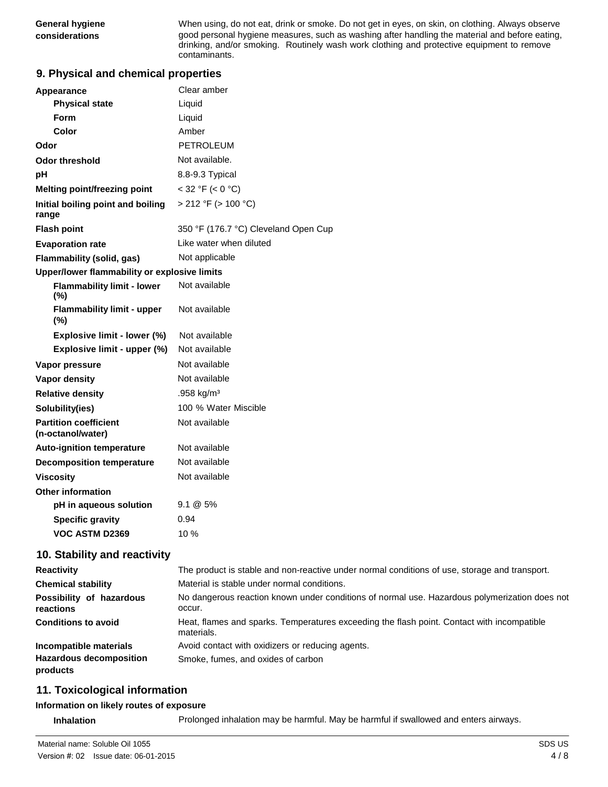**General hygiene** When using, do not eat, drink or smoke. Do not get in eyes, on skin, on clothing. Always observe **considerations** good personal hygiene measures, such as washing after handling the material and before eating, drinking, and/or smoking. Routinely wash work clothing and protective equipment to remove contaminants.

#### **9. Physical and chemical properties**

| <b>Appearance</b>                                 | Clear amber                          |  |  |
|---------------------------------------------------|--------------------------------------|--|--|
| <b>Physical state</b>                             | Liquid                               |  |  |
| Form                                              | Liquid                               |  |  |
| Color                                             | Amber                                |  |  |
| Odor                                              | PETROLEUM                            |  |  |
| <b>Odor threshold</b>                             | Not available.                       |  |  |
| рH                                                | 8.8-9.3 Typical                      |  |  |
| <b>Melting point/freezing point</b>               | $<$ 32 °F ( $<$ 0 °C)                |  |  |
| Initial boiling point and boiling<br>range        | > 212 °F (> 100 °C)                  |  |  |
| <b>Flash point</b>                                | 350 °F (176.7 °C) Cleveland Open Cup |  |  |
| <b>Evaporation rate</b>                           | Like water when diluted              |  |  |
| <b>Flammability (solid, gas)</b>                  | Not applicable                       |  |  |
| Upper/lower flammability or explosive limits      |                                      |  |  |
| <b>Flammability limit - lower</b><br>(%)          | Not available                        |  |  |
| <b>Flammability limit - upper</b><br>(%)          | Not available                        |  |  |
| Explosive limit - lower (%)                       | Not available                        |  |  |
| Explosive limit - upper (%)                       | Not available                        |  |  |
| Vapor pressure                                    | Not available                        |  |  |
| <b>Vapor density</b>                              | Not available                        |  |  |
| <b>Relative density</b>                           | .958 kg/m <sup>3</sup>               |  |  |
| Solubility(ies)                                   | 100 % Water Miscible                 |  |  |
| <b>Partition coefficient</b><br>(n-octanol/water) | Not available                        |  |  |
| <b>Auto-ignition temperature</b>                  | Not available                        |  |  |
| <b>Decomposition temperature</b>                  | Not available                        |  |  |
| <b>Viscosity</b>                                  | Not available                        |  |  |
| <b>Other information</b>                          |                                      |  |  |
| pH in aqueous solution                            | $9.1 \& 5\%$                         |  |  |
| <b>Specific gravity</b>                           | 0.94                                 |  |  |
| <b>VOC ASTM D2369</b>                             | $10\%$                               |  |  |

#### **10. Stability and reactivity**

| <b>Reactivity</b>                          | The product is stable and non-reactive under normal conditions of use, storage and transport.            |  |  |
|--------------------------------------------|----------------------------------------------------------------------------------------------------------|--|--|
| <b>Chemical stability</b>                  | Material is stable under normal conditions.                                                              |  |  |
| Possibility of hazardous<br>reactions      | No dangerous reaction known under conditions of normal use. Hazardous polymerization does not<br>occur.  |  |  |
| <b>Conditions to avoid</b>                 | Heat, flames and sparks. Temperatures exceeding the flash point. Contact with incompatible<br>materials. |  |  |
| Incompatible materials                     | Avoid contact with oxidizers or reducing agents.                                                         |  |  |
| <b>Hazardous decomposition</b><br>products | Smoke, fumes, and oxides of carbon                                                                       |  |  |

### **11. Toxicological information**

#### **Information on likely routes of exposure**

**Inhalation** Prolonged inhalation may be harmful. May be harmful if swallowed and enters airways.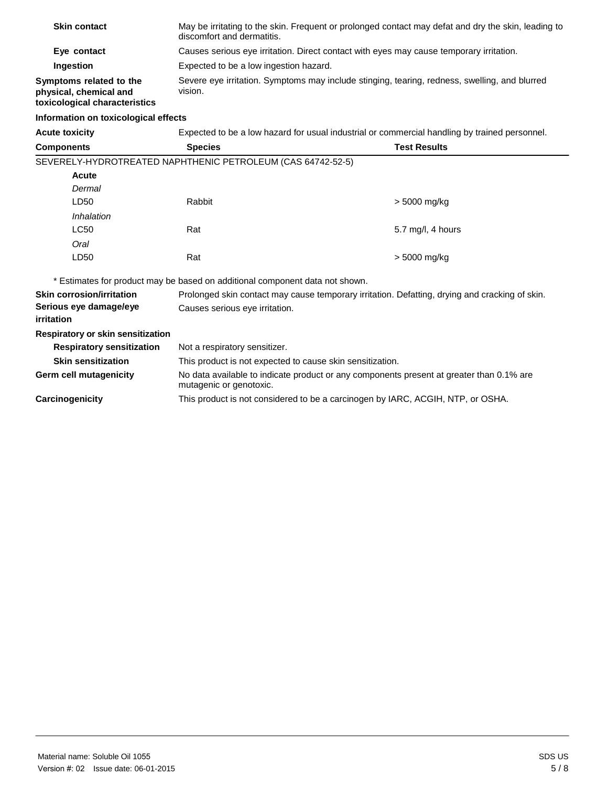| <b>Skin contact</b>                                                                | May be irritating to the skin. Frequent or prolonged contact may defat and dry the skin, leading to<br>discomfort and dermatitis. |
|------------------------------------------------------------------------------------|-----------------------------------------------------------------------------------------------------------------------------------|
| Eye contact                                                                        | Causes serious eye irritation. Direct contact with eyes may cause temporary irritation.                                           |
| Ingestion                                                                          | Expected to be a low ingestion hazard.                                                                                            |
| Symptoms related to the<br>physical, chemical and<br>toxicological characteristics | Severe eye irritation. Symptoms may include stinging, tearing, redness, swelling, and blurred<br>vision.                          |

# **Information on toxicological effects**

**Acute toxicity** 

| Expected to be a low hazard for usual industrial or commercial handling by trained personnel. |
|-----------------------------------------------------------------------------------------------|
|-----------------------------------------------------------------------------------------------|

| Components  | <b>Species</b>                                              | <b>Test Results</b> |
|-------------|-------------------------------------------------------------|---------------------|
|             | SEVERELY-HYDROTREATED NAPHTHENIC PETROLEUM (CAS 64742-52-5) |                     |
| Acute       |                                                             |                     |
| Dermal      |                                                             |                     |
| LD50        | Rabbit                                                      | > 5000 mg/kg        |
| Inhalation  |                                                             |                     |
| <b>LC50</b> | Rat                                                         | 5.7 mg/l, 4 hours   |
| Oral        |                                                             |                     |
| LD50        | Rat                                                         | > 5000 mg/kg        |
|             |                                                             |                     |

\* Estimates for product may be based on additional component data not shown.

| <b>Skin corrosion/irritation</b>     | Prolonged skin contact may cause temporary irritation. Defatting, drying and cracking of skin.                      |  |  |
|--------------------------------------|---------------------------------------------------------------------------------------------------------------------|--|--|
| Serious eye damage/eye<br>irritation | Causes serious eye irritation.                                                                                      |  |  |
| Respiratory or skin sensitization    |                                                                                                                     |  |  |
| <b>Respiratory sensitization</b>     | Not a respiratory sensitizer.                                                                                       |  |  |
| <b>Skin sensitization</b>            | This product is not expected to cause skin sensitization.                                                           |  |  |
| Germ cell mutagenicity               | No data available to indicate product or any components present at greater than 0.1% are<br>mutagenic or genotoxic. |  |  |
| Carcinogenicity                      | This product is not considered to be a carcinogen by IARC, ACGIH, NTP, or OSHA.                                     |  |  |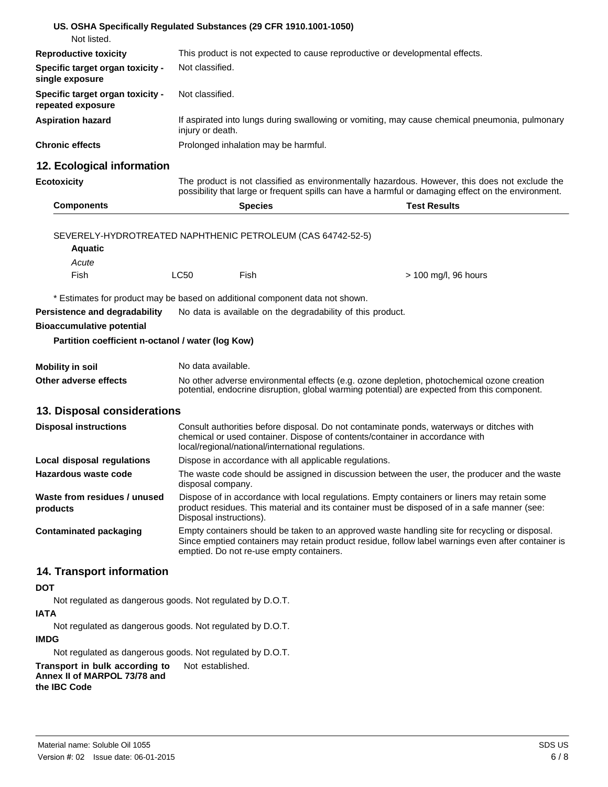| US. OSHA Specifically Regulated Substances (29 CFR 1910.1001-1050)           |                                                                                                                                                                                                                        |                                                            |                                                                                                                                                                                                       |
|------------------------------------------------------------------------------|------------------------------------------------------------------------------------------------------------------------------------------------------------------------------------------------------------------------|------------------------------------------------------------|-------------------------------------------------------------------------------------------------------------------------------------------------------------------------------------------------------|
| Not listed.                                                                  |                                                                                                                                                                                                                        |                                                            |                                                                                                                                                                                                       |
| <b>Reproductive toxicity</b>                                                 |                                                                                                                                                                                                                        |                                                            | This product is not expected to cause reproductive or developmental effects.                                                                                                                          |
| Specific target organ toxicity -<br>single exposure                          | Not classified.                                                                                                                                                                                                        |                                                            |                                                                                                                                                                                                       |
| Specific target organ toxicity -<br>repeated exposure                        | Not classified.                                                                                                                                                                                                        |                                                            |                                                                                                                                                                                                       |
| <b>Aspiration hazard</b>                                                     | injury or death.                                                                                                                                                                                                       |                                                            | If aspirated into lungs during swallowing or vomiting, may cause chemical pneumonia, pulmonary                                                                                                        |
| <b>Chronic effects</b>                                                       |                                                                                                                                                                                                                        | Prolonged inhalation may be harmful.                       |                                                                                                                                                                                                       |
| 12. Ecological information                                                   |                                                                                                                                                                                                                        |                                                            |                                                                                                                                                                                                       |
| <b>Ecotoxicity</b>                                                           |                                                                                                                                                                                                                        |                                                            | The product is not classified as environmentally hazardous. However, this does not exclude the<br>possibility that large or frequent spills can have a harmful or damaging effect on the environment. |
| <b>Components</b>                                                            |                                                                                                                                                                                                                        | <b>Species</b>                                             | <b>Test Results</b>                                                                                                                                                                                   |
|                                                                              |                                                                                                                                                                                                                        |                                                            |                                                                                                                                                                                                       |
| SEVERELY-HYDROTREATED NAPHTHENIC PETROLEUM (CAS 64742-52-5)                  |                                                                                                                                                                                                                        |                                                            |                                                                                                                                                                                                       |
| <b>Aquatic</b>                                                               |                                                                                                                                                                                                                        |                                                            |                                                                                                                                                                                                       |
| Acute                                                                        |                                                                                                                                                                                                                        |                                                            |                                                                                                                                                                                                       |
| Fish                                                                         | <b>LC50</b>                                                                                                                                                                                                            | Fish                                                       | $>$ 100 mg/l, 96 hours                                                                                                                                                                                |
| * Estimates for product may be based on additional component data not shown. |                                                                                                                                                                                                                        |                                                            |                                                                                                                                                                                                       |
| Persistence and degradability                                                |                                                                                                                                                                                                                        | No data is available on the degradability of this product. |                                                                                                                                                                                                       |
| <b>Bioaccumulative potential</b>                                             |                                                                                                                                                                                                                        |                                                            |                                                                                                                                                                                                       |
| Partition coefficient n-octanol / water (log Kow)                            |                                                                                                                                                                                                                        |                                                            |                                                                                                                                                                                                       |
|                                                                              |                                                                                                                                                                                                                        |                                                            |                                                                                                                                                                                                       |
| <b>Mobility in soil</b>                                                      | No data available.                                                                                                                                                                                                     |                                                            |                                                                                                                                                                                                       |
| Other adverse effects                                                        | No other adverse environmental effects (e.g. ozone depletion, photochemical ozone creation<br>potential, endocrine disruption, global warming potential) are expected from this component.                             |                                                            |                                                                                                                                                                                                       |
| 13. Disposal considerations                                                  |                                                                                                                                                                                                                        |                                                            |                                                                                                                                                                                                       |
| <b>Disposal instructions</b>                                                 |                                                                                                                                                                                                                        |                                                            | Consult authorities before disposal. Do not contaminate ponds, waterways or ditches with                                                                                                              |
|                                                                              |                                                                                                                                                                                                                        | local/regional/national/international regulations.         | chemical or used container. Dispose of contents/container in accordance with                                                                                                                          |
| Local disposal regulations                                                   |                                                                                                                                                                                                                        | Dispose in accordance with all applicable regulations.     |                                                                                                                                                                                                       |
| Hazardous waste code                                                         | The waste code should be assigned in discussion between the user, the producer and the waste<br>disposal company.                                                                                                      |                                                            |                                                                                                                                                                                                       |
| Waste from residues / unused<br>products                                     | Dispose of in accordance with local regulations. Empty containers or liners may retain some<br>product residues. This material and its container must be disposed of in a safe manner (see:<br>Disposal instructions). |                                                            |                                                                                                                                                                                                       |
| <b>Contaminated packaging</b>                                                |                                                                                                                                                                                                                        | emptied. Do not re-use empty containers.                   | Empty containers should be taken to an approved waste handling site for recycling or disposal.<br>Since emptied containers may retain product residue, follow label warnings even after container is  |
| 14. Transport information                                                    |                                                                                                                                                                                                                        |                                                            |                                                                                                                                                                                                       |
| <b>DOT</b>                                                                   |                                                                                                                                                                                                                        |                                                            |                                                                                                                                                                                                       |
| Not regulated as dangerous goods. Not regulated by D.O.T.                    |                                                                                                                                                                                                                        |                                                            |                                                                                                                                                                                                       |
| <b>IATA</b>                                                                  |                                                                                                                                                                                                                        |                                                            |                                                                                                                                                                                                       |
| Not regulated as dangerous goods. Not regulated by D.O.T.                    |                                                                                                                                                                                                                        |                                                            |                                                                                                                                                                                                       |

**IMDG** 

Not regulated as dangerous goods. Not regulated by D.O.T.

**Transport in bulk according to** Not established. **Annex II of MARPOL 73/78 and the IBC Code**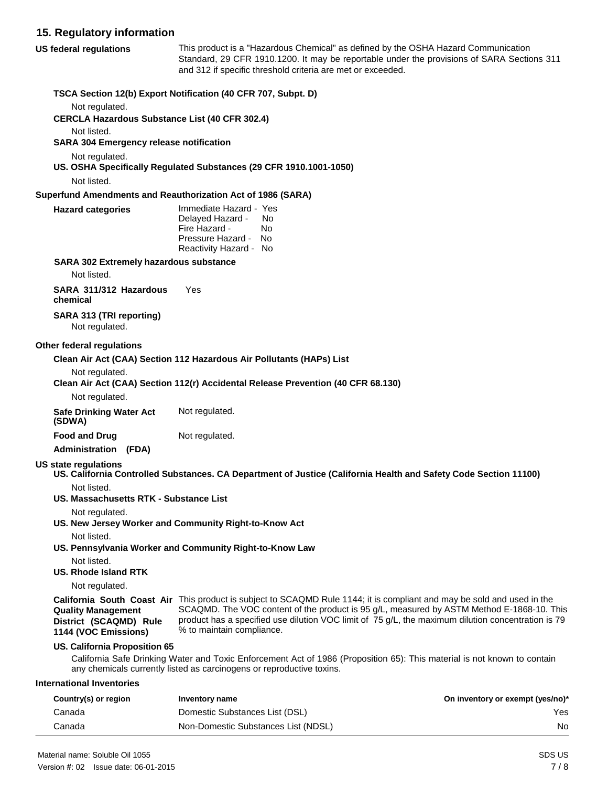#### **15. Regulatory information**

| 15. Regulatory information                                                  |                                                                                                                                 |                                                                                                                                                                                                                                                                                                                                   |                                  |
|-----------------------------------------------------------------------------|---------------------------------------------------------------------------------------------------------------------------------|-----------------------------------------------------------------------------------------------------------------------------------------------------------------------------------------------------------------------------------------------------------------------------------------------------------------------------------|----------------------------------|
| <b>US federal regulations</b>                                               |                                                                                                                                 | This product is a "Hazardous Chemical" as defined by the OSHA Hazard Communication<br>Standard, 29 CFR 1910.1200. It may be reportable under the provisions of SARA Sections 311<br>and 312 if specific threshold criteria are met or exceeded.                                                                                   |                                  |
|                                                                             | TSCA Section 12(b) Export Notification (40 CFR 707, Subpt. D)                                                                   |                                                                                                                                                                                                                                                                                                                                   |                                  |
| Not regulated.                                                              |                                                                                                                                 |                                                                                                                                                                                                                                                                                                                                   |                                  |
| <b>CERCLA Hazardous Substance List (40 CFR 302.4)</b>                       |                                                                                                                                 |                                                                                                                                                                                                                                                                                                                                   |                                  |
| Not listed.<br><b>SARA 304 Emergency release notification</b>               |                                                                                                                                 |                                                                                                                                                                                                                                                                                                                                   |                                  |
| Not regulated.                                                              | US. OSHA Specifically Regulated Substances (29 CFR 1910.1001-1050)                                                              |                                                                                                                                                                                                                                                                                                                                   |                                  |
| Not listed.                                                                 |                                                                                                                                 |                                                                                                                                                                                                                                                                                                                                   |                                  |
| Superfund Amendments and Reauthorization Act of 1986 (SARA)                 |                                                                                                                                 |                                                                                                                                                                                                                                                                                                                                   |                                  |
| <b>Hazard categories</b>                                                    | Immediate Hazard - Yes<br>Delayed Hazard -<br>No.<br>Fire Hazard -<br>No.<br>Pressure Hazard -<br>No.<br>Reactivity Hazard - No |                                                                                                                                                                                                                                                                                                                                   |                                  |
| <b>SARA 302 Extremely hazardous substance</b>                               |                                                                                                                                 |                                                                                                                                                                                                                                                                                                                                   |                                  |
| Not listed.                                                                 |                                                                                                                                 |                                                                                                                                                                                                                                                                                                                                   |                                  |
| SARA 311/312 Hazardous<br>chemical                                          | Yes                                                                                                                             |                                                                                                                                                                                                                                                                                                                                   |                                  |
| SARA 313 (TRI reporting)<br>Not regulated.                                  |                                                                                                                                 |                                                                                                                                                                                                                                                                                                                                   |                                  |
| Other federal regulations                                                   |                                                                                                                                 |                                                                                                                                                                                                                                                                                                                                   |                                  |
|                                                                             | Clean Air Act (CAA) Section 112 Hazardous Air Pollutants (HAPs) List                                                            |                                                                                                                                                                                                                                                                                                                                   |                                  |
| Not regulated.                                                              |                                                                                                                                 |                                                                                                                                                                                                                                                                                                                                   |                                  |
|                                                                             | Clean Air Act (CAA) Section 112(r) Accidental Release Prevention (40 CFR 68.130)                                                |                                                                                                                                                                                                                                                                                                                                   |                                  |
| Not regulated.                                                              |                                                                                                                                 |                                                                                                                                                                                                                                                                                                                                   |                                  |
| <b>Safe Drinking Water Act</b><br>(SDWA)                                    | Not regulated.                                                                                                                  |                                                                                                                                                                                                                                                                                                                                   |                                  |
| <b>Food and Drug</b>                                                        | Not regulated.                                                                                                                  |                                                                                                                                                                                                                                                                                                                                   |                                  |
| <b>Administration (FDA)</b>                                                 |                                                                                                                                 |                                                                                                                                                                                                                                                                                                                                   |                                  |
| <b>US state regulations</b>                                                 |                                                                                                                                 | US. California Controlled Substances. CA Department of Justice (California Health and Safety Code Section 11100)                                                                                                                                                                                                                  |                                  |
| Not listed.<br>US. Massachusetts RTK - Substance List                       |                                                                                                                                 |                                                                                                                                                                                                                                                                                                                                   |                                  |
| Not regulated.                                                              |                                                                                                                                 |                                                                                                                                                                                                                                                                                                                                   |                                  |
|                                                                             | US. New Jersey Worker and Community Right-to-Know Act                                                                           |                                                                                                                                                                                                                                                                                                                                   |                                  |
| Not listed.                                                                 |                                                                                                                                 |                                                                                                                                                                                                                                                                                                                                   |                                  |
|                                                                             | US. Pennsylvania Worker and Community Right-to-Know Law                                                                         |                                                                                                                                                                                                                                                                                                                                   |                                  |
| Not listed.<br><b>US. Rhode Island RTK</b>                                  |                                                                                                                                 |                                                                                                                                                                                                                                                                                                                                   |                                  |
| Not regulated.                                                              |                                                                                                                                 |                                                                                                                                                                                                                                                                                                                                   |                                  |
| <b>Quality Management</b><br>District (SCAQMD) Rule<br>1144 (VOC Emissions) | % to maintain compliance.                                                                                                       | <b>California South Coast Air</b> This product is subject to SCAQMD Rule 1144; it is compliant and may be sold and used in the<br>SCAQMD. The VOC content of the product is 95 g/L, measured by ASTM Method E-1868-10. This<br>product has a specified use dilution VOC limit of 75 g/L, the maximum dilution concentration is 79 |                                  |
| US. California Proposition 65                                               | any chemicals currently listed as carcinogens or reproductive toxins.                                                           | California Safe Drinking Water and Toxic Enforcement Act of 1986 (Proposition 65): This material is not known to contain                                                                                                                                                                                                          |                                  |
| <b>International Inventories</b>                                            |                                                                                                                                 |                                                                                                                                                                                                                                                                                                                                   |                                  |
| Country(s) or region                                                        | Inventory name                                                                                                                  |                                                                                                                                                                                                                                                                                                                                   | On inventory or exempt (yes/no)* |
| Canada                                                                      | Domestic Substances List (DSL)                                                                                                  |                                                                                                                                                                                                                                                                                                                                   | Yes                              |

Canada **Non-Domestic Substances List (NDSL)** Non-Canada No